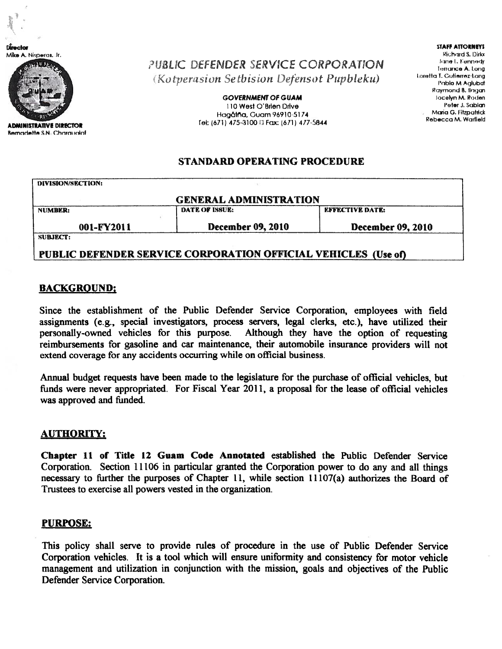Dîrector Mike A. Nisperos. Jr.



**ADMINISTRATIVE DIRECTOR** Remadette S.N. Charauolaf PUBLIC DEFENDER SERVICE CORPORATION (Kotperasion Setbision Defensot Pupbleku)

> GOVERNMENT OF GUAM **IIO West O'Brien Drive** Hagåtña, Guam 96910-5174 Tel: (671) 475-3100 D Fax: (671) 477-5844

Richard S. Dirkx **Irane L. Kenneck** Terrance A. Long Loretta T. Gutierrez-Long Pablo M Aglubat Raymond B. Ilagan Jocelyn M. Roden Peter J. Sablan Maria G. Fitzpatrick Rebecca M. Warfield

**STAFF ATTORNEYS** 

## STANDARD OPERATING PROCEDURE

| DIVISION/SECTION:                                              |                          |                        |  |  |  |  |
|----------------------------------------------------------------|--------------------------|------------------------|--|--|--|--|
| <b>GENERAL ADMINISTRATION</b>                                  |                          |                        |  |  |  |  |
| <b>NUMBER:</b>                                                 | DATE OF ISSUE:           | <b>EFFECTIVE DATE:</b> |  |  |  |  |
| 001-FY2011                                                     | <b>December 09, 2010</b> | December 09, 2010      |  |  |  |  |
| <b>SUBJECT:</b>                                                |                          |                        |  |  |  |  |
| PUBLIC DEFENDER SERVICE CORPORATION OFFICIAL VEHICLES (Use of) |                          |                        |  |  |  |  |

# BACKGROUND;

Since the establishment of the Public Defender Service Corporation, employees with field assignments (e.g., special investigators, process servers, legal clerks, etc.), have utilized their personally-owned vehicles for this purpose. Although they have the option of requesting reimbursements for gasoline and car maintenance, their automobile insurance providers will not extend coverage for any accidents occurring while on official business.

Annual budget requests have been made to the legislature for the purchase of official vehicles, but funds were never appropriated. For Fiscal Year 2011, a proposal for the lease of official vehicles was approved and funded.

## AUTHORITY:

Chapter 11 of Title 12 Guam Code Annotated established the Public Defender Service Corporation. Section 11106 in particular granted the Corporation power to do any and all things necessary to further the purposes of Chapter 11, while section 11107(a) authorizes the Board of Trustees to exercise all powers vested in the organization.

#### PURPOSE:

This policy shall serve to provide rules of procedure in the use of Public Defender Service Corporation vehicles. It is a tool which will ensure uniformity and consistency for motor vehicle management and utilization in conjunction with the mission, goals and objectives of the Public Defender Service Corporation.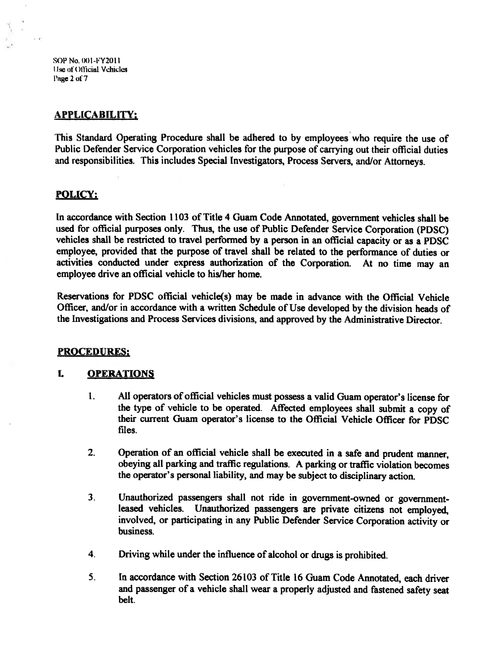SOP No. 001-FY2011 Use of Official Vehicles Page 2 of 7

### APPLICABILITY:

This Standard Operating Procedure shall be adhered to by employees who require the use of Public Defender Service Corporation vehicles for the purpose of carrying out their official duties and responsibilities. This includes Special Investigators, Process Servers, and/or Attorneys.

#### POLICY;

In accordance with Section 1103 of Title 4 Guam Code Annotated, government vehicles shall be used for official purposes only. Thus, the use of Public Defender Service Corporation (PDSC) vehicles shall be restricted to travel performed by a person in an official capacity or as a PDSC employee, provided that the purpose of travel shall be related to the performance of duties or activities conducted under express authorization of the Corporation. At no time may an employee drive an official vehicle to his/her home.

Reservations for PDSC official vehicle(s) may be made in advance with the Official Vehicle Officer, and/or in accordance with a written Schedule of Use developed by the division heads of the Investigations and Process Services divisions, and approved by the Administrative Director.

#### PROCEDURES:

#### L OPERATIONS

- 1. All operators of official vehicles must possess a valid Guam operator's license for the type of vehicle to be operated. Affected employees shall submit a copy of their current Guam operator's license to the Official Vehicle Officer for PDSC files.
- 2. Operation of an official vehicle shall be executed in a safe and prudent manner, obeying all parking and traffic regulations. A parking or traffic violation becomes the operator's personal liability, and may be subject to disciplinary action.
- 3. Unauthorized passengers shall not ride in government-owned or governmentleased vehicles. Unauthorized passengers are private citizens not employed, involved, or participating in any Public Defender Service Corporation activity or business.
- 4. Driving while under the influence of alcohol or drugs is prohibited.
- 5. In accordance with Section 26103 of Title 16 Guam Code Annotated, each driver and passenger of a vehicle shall wear <sup>a</sup> properly adjusted and fastened safety seat belt.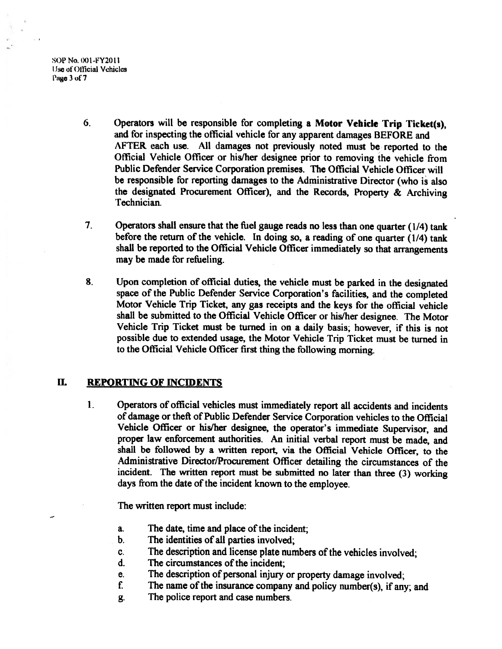SOP No. 001-FY2011 <sup>I</sup> Ise of Official Vehicles Page 3 of 7

- 6. Operators will be responsible for completing <sup>a</sup> Motor Vehicle Trip 'Ticket(s), and for inspecting the official vehicle for any apparent damages BEFORE and AFTER each use. All damages not previously noted must be reported to the Official Vehicle Officer or his/her designee prior to removing the vehicle from Public Defender Service Corporation premises. The Official Vehicle Officer will be responsible for reporting damages to the Administrative Director (who is also the designated Procurement Officer), and the Records, Property & Archiving Technician.
- 7. Operators shall ensure that the fuel gauge reads no less than one quarter (1/4) tank before the return of the vehicle. In doing so, <sup>a</sup> reading of one quarter (1/4) tank shall be reported to the Official Vehicle Officer immediately so that arrangements may be made for refueling.
- 8. Upon completion of official duties, the vehicle must be parked in the designated space of the Public Defender Service Corporation's facilities, and the completed Motor Vehicle Trip Ticket, any gas receipts and the keys for the official vehicle shall be submitted to the Official Vehicle Officer or his/her designee. The Motor Vehicle Trip Ticket must be turned in on <sup>a</sup> daily basis; however, if this is not possible due to extended usage, the Motor Vehicle Trip Ticket must be turned in to the Official Vehicle Officer first thing the following morning.

#### II. REPORTING OF INCIDENTS

 $\mathbf{1}$ . Operators of official vehicles must immediately report all accidents and incidents of damage or theft of Public Defender Service Corporation vehicles to the Official Vehicle Officer or his/her designee, the operator's immediate Supervisor, and proper law enforcement authorities. An initial verbal report must be made, and shall be followed by <sup>a</sup> written report, via the Official Vehicle Officer, to the Administrative Director/Procurement Officer detailing the circumstances of the incident. The written report must be submitted no later than three (3) working days from the date of the incident known to the employee.

The written report must include:

- a. The date, time and place of the incident;
- b. The identities of all parties involved;
- c. The description and license plate numbers of the vehicles involved;
- d. The circumstances of the incident;
- e. The description of personal injury or property damage involved;
- $f$ . The name of the insurance company and policy number(s), if any; and
- g. The police report and case numbers.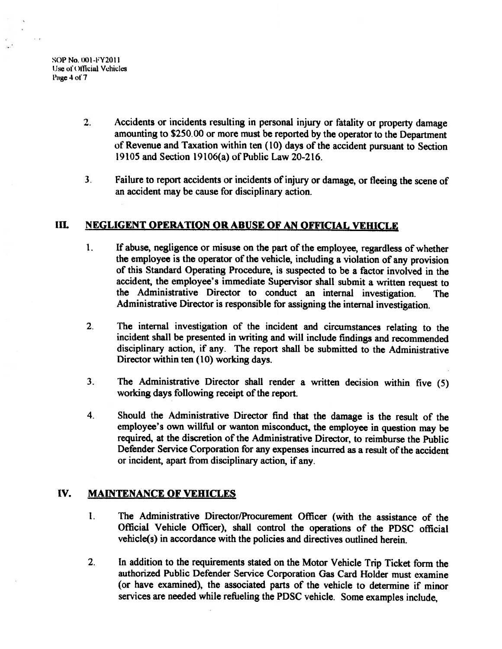SOP No. 001-FY2011 Use of Official Vehicles Page 4 of 7

- 2. Accidents or incidents resulting in personal injury or Fatality or property damage amounting to \$250.00 or more must be reported by the operator to the Department of Revenue and Taxation within ten (10) days of the accident pursuant to Section 19105 and Section 19106(a) of Public Law 20-216.
- 3. Failure to report accidents or incidents of injury or damage, or fleeing the scene of an accident may be cause for disciplinary action.

#### Ill. NEGLIGENT OPERATION OR ABUSE OF AN OFFICIAL VEHICLE

- 1. If abuse, negligence or misuse on the part of the employee, regardless of whether the employee is the operator of the vehicle, including a violation of any provision of this Standard Operating Procedure, is suspected to be a factor involved in the accident, the employee's immediate Supervisor shall submit a written request to the Administrative Director to conduct an internal investigation. The Administrative Director is responsible for assigning the internal investigation.
- 2. The internal investigation of the incident and circumstances relating to the incident shall be presented in writing and will include findings and recommended disciplinary action, if any. The report shall be submitted to the Administrative Director within ten (10) working days.
- 3. The Administrative Director shall render a written decision within five (5) working days following receipt of the report.
- 4. Should the Administrative Director find that the damage is the result of the employee's own willful or wanton misconduct, the employee in question may be required, at the discretion of the Administrative Director, to reimburse the Public Defender Service Corporation for any expenses incurred as a result of the accident or incident, apart from disciplinary action, if any.

## IV. MAINTENANCE OF VEHICLES

- 1. The Administrative Director/Procurement Officer (with the assistance of the Official Vehicle Officer), shalt control the operations of the PDSC official vehicle(s) in accordance with the policies and directives outlined herein.
- 2. In addition to the requirements stated on the Motor Vehicle Trip Ticket form the authorized Public Defender Service Corporation Gas Card Holder must examine (or have examined), the associated parts of the vehicle to determine if minor services are needed while refueling the PDSC vehicle. Some examples include,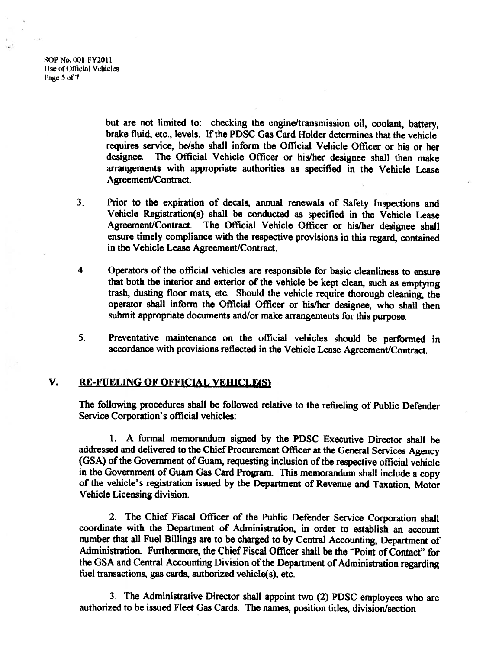SOP No. 001-FY2011 Use of Official Vehicles Page 5 of 7

> but are not limited to: checking the engine/transmission oil, coolant, battery, brake fluid, etc., levels. If the PDSC Gas Card Holder determines that the vehicle requires service, he/she shall inform the Official Vehicle Officer or his or her designee. The Official Vehicle Officer or his/her designee shall then make arrangements with appropriate authorities as specified in the Vehicle Lease Agreement/Contract.

- 3. Prior to the expiration of decals, annual renewals of Safety Inspections and Vehicle Registration(s) shall be conducted as specified in the Vehicle Lease Agreement/Contract. The Official Vehicle Officer or his/her designee shall ensure timely compliance with the respective provisions in this regard, contained in the Vehicle Lease Agreement/Contract.
- 4. Operators of the official vehicles are responsible for basic cleanliness to ensure that both the interior and exterior of the vehicle be kept clean, such as emptying trash, dusting floor mats, etc. Should the vehicle require thorough cleaning, the operator shall inform the Official Officer or his/her designee, who shall then submit appropriate documents and/or make arrangements for this purpose.
- 5. Preventative maintenance on the official vehicles should be performed in accordance with provisions reflected in the Vehicle Lease Agreement/Contract.

#### V. RE-FUELING OF OFFICIAL VEHICLE(S)

The following procedures shall be followed relative to the retheling of Public Defender Service Corporation's official vehicles:

1. A formal memorandum signed by the PDSC Executive Director shall be addressed and delivered to the Chief Procurement Officer at the General Services Agency (GSA) of the Government of Guam, requesting inclusion of the respective official vehicle in the Government of Guam Gas Card Program. This memorandum shall include <sup>a</sup> copy of the vehicle's registration issued by the Department of Revenue and Taxation, Motor Vehicle Licensing division.

2. The Chief Fiscal Officer of the Public Defender Service Corporation shall coordinate with the Department of Administration, in order to establish an account number that all fuel Billings are to be charged to by Central Accounting, Department of Administration. furthermore, the Chief fiscal Officer shall be the "Point of Contact" for the GSA and Central Accounting Division of the Department of Administration regarding fuel transactions, gas cards, authorized vehicle(s), etc.

3. The Administrative Director shall appoint two (2) PDSC employees who are authorized to be issued fleet Gas Cards. The names, position titles, division/section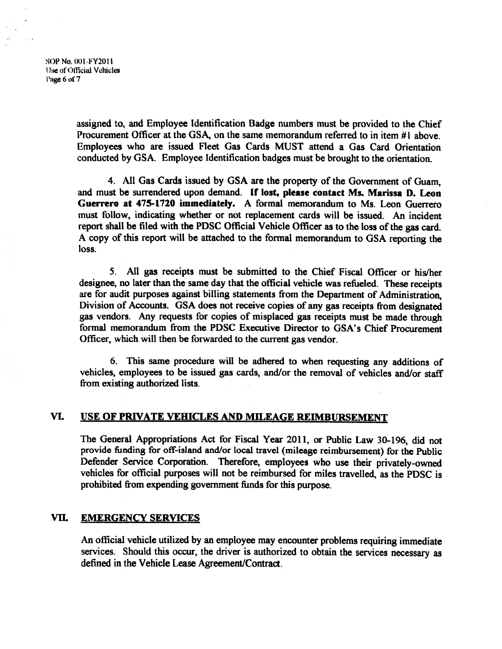SOP No. 001-FY2011 Use of Official Vehicles Page 6 of 7

> assigned to, and Emptoyee Identitication Badge numbers must be provided to the Chief Procurement Officer at the GSA, on the same memorandum referred to in item #1 above. Employees who are issued Fleet Gas Cards MUST attend a Gas Card Orientation conducted by GSA. Employee tdentitication badges must be brought to the orientation.

> 4. All Gas Cards issued by GSA are the property of the Government of Guam, and must be surrendered upon demand. If lost, please contact Ms. Marissa D. Leon Guerrero at 475-1720 immediately. A formal memorandum to Ms. Leon Guerrero must follow, indicating whether or not replacement cards will be issued. An incident report shall be filed with the PDSC Official Vehicle Officer as to the loss of the gas card. A copy of this report will be attached to the formal memorandum to GSA reporting the loss.

> 5. MI gas receipts must be submitted to the Chief Fiscal Officer or his/her designee, no later than the same day that the official vehicle was refueled. These receipts are for audit purposes against billing statements from the Department of Administration, Division of Accounts. GSA does not receive copies of any gas receipts from designated gas vendors. Any requests for copies of misplaced gas receipts must be made through formal memorandum from the PDSC Executive Director to GSA's Chief Procurement Officer, which will then be forwarded to the current gas vendor.

> 6. This same procedure will be adhered to when requesting any additions of vehicles, employees to be issued gas cards, and/or the removal of vehicles and/or staff from existing authorized lists.

#### VI. USE OF PRIVATE VEHICLES AND MILEAGE REIMBURSEMENT

The General Appropriations Act for Fiscal Year 2011, or Public Law 30-196, did not provide funding for off-island and/or local travel (mileage reimbursement) for the Public Defender Service Corporation. Therefore, employees who use their privately-owned vehicles for official purposes will not be reimbursed for miles travelled, as the PDSC is prohibited from expending government funds for this purpose.

#### VII. EMERGENCY SERVICES

An official vehicle utilized by an employee may encounter problems requiring immediate services. Should this occur, the driver is authorized to obtain the services necessary as defined in the Vehicle Lease Agreement/Contract.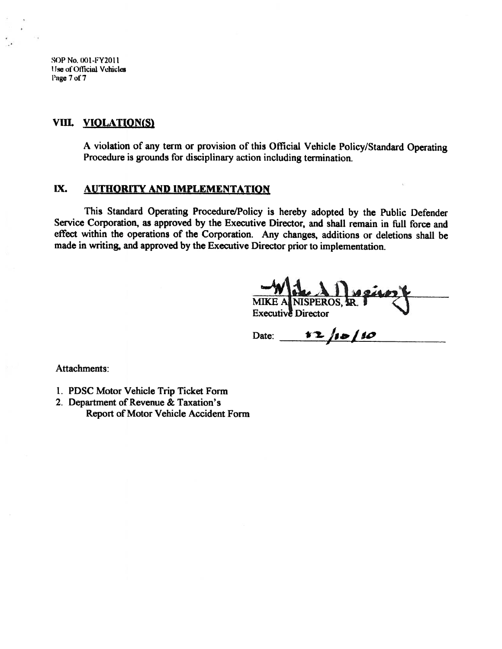SOP No. 001-FY2011 Use of Official Vehicles Page 7 of 7

#### VIII. VIOLATION(S)

<sup>A</sup> violation of any term or provision of this Official Vehicle Policy/Standard Operating Procedure is grounds for disciplinary action including termination.

#### IX. AUTHORITY AND IMPLEMENTATION

This Standard Operating Procedure/Policy is hereby adopted by the Public Defender Service Corporation, as approved by the Executive Director, and shall remain in full force and effect within the operations of the Corporation. Any changes, additions or deletions shall be made in writing, and approved by the Executive Director prior to implementation.

 $M$  $\frac{1}{N}$  MIKE A  $\frac{1}{N}$  MSPEROS,  $\frac{1}{N}$ Executive Director

Date:  $12/10$ 

Attachments:

- 1. PDSC Motor Vehicle Trip Ticket Form
- 2. Department of Revenue & Taxation's Report of Motor Vehicle Accident Form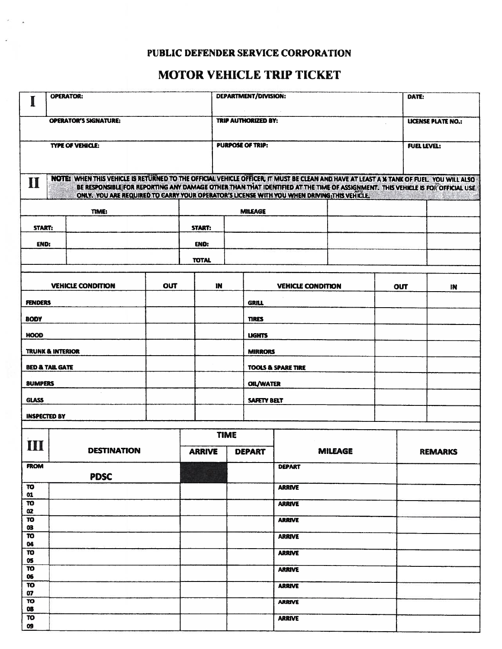# PUBLIC DEfENDER SERVICE CORPORATION

# MOTOR VEHICLE TRIP TICKET

|                                         | <b>OPERATOR:</b>   |                                                                                                                                                                                                                                                                                                                                                                         |                         |                            | DEPARTMENT/DIVISION: |                |                           |    | DATE:          |  |  |
|-----------------------------------------|--------------------|-------------------------------------------------------------------------------------------------------------------------------------------------------------------------------------------------------------------------------------------------------------------------------------------------------------------------------------------------------------------------|-------------------------|----------------------------|----------------------|----------------|---------------------------|----|----------------|--|--|
| <b>OPERATOR'S SIGNATURE:</b>            |                    |                                                                                                                                                                                                                                                                                                                                                                         |                         | <b>TRIP AUTHORIZED BY:</b> |                      |                | <b>LICENSE PLATE NO.:</b> |    |                |  |  |
| <b>TYPE OF VEHICLE:</b>                 |                    |                                                                                                                                                                                                                                                                                                                                                                         | <b>PURPOSE OF TRIP:</b> |                            |                      |                | <b>FUEL LEVEL:</b>        |    |                |  |  |
| $\mathbf{\Pi}$                          |                    | NOTE: WHEN THIS VEHICLE IS RETURNED TO THE OFFICIAL VEHICLE OFFICER, IT MUST BE CLEAN AND HAVE AT LEAST A X TANK OF FUEL YOU WILL ALSO<br>BE RESPONSIBLE FOR REPORTING ANY DAMAGE OTHER THAN THAT IDENTIFIED AT THE TIME OF ASSIGNMENT. THIS VEHICLE IS FOR OFFICIAL USE<br>ONLY. YOU ARE REQUIRED TO CARRY YOUR OPERATOR'S LICENSE WITH YOU WHEN DRIVING THIS VEHICLE, |                         |                            |                      |                |                           |    |                |  |  |
|                                         |                    | TIME:                                                                                                                                                                                                                                                                                                                                                                   |                         |                            |                      | <b>MILEAGE</b> |                           |    |                |  |  |
| START:                                  |                    |                                                                                                                                                                                                                                                                                                                                                                         | START:                  |                            |                      |                |                           |    |                |  |  |
| END:                                    |                    |                                                                                                                                                                                                                                                                                                                                                                         | <b>END:</b>             |                            |                      |                |                           |    |                |  |  |
|                                         |                    |                                                                                                                                                                                                                                                                                                                                                                         |                         | <b>TOTAL</b>               |                      |                |                           |    |                |  |  |
| <b>VEHICLE CONDITION</b><br>оит         |                    | IN                                                                                                                                                                                                                                                                                                                                                                      |                         | <b>VEHICLE CONDITION</b>   |                      | OUT            |                           | IN |                |  |  |
| <b>FENDERS</b>                          |                    |                                                                                                                                                                                                                                                                                                                                                                         |                         |                            | <b>GRILL</b>         |                |                           |    |                |  |  |
| <b>BODY</b>                             |                    |                                                                                                                                                                                                                                                                                                                                                                         |                         |                            |                      | <b>TIRES</b>   |                           |    |                |  |  |
| <b>HOOD</b>                             |                    |                                                                                                                                                                                                                                                                                                                                                                         |                         | <b>LIGHTS</b>              |                      |                |                           |    |                |  |  |
| <b>TRUNK &amp; INTERIOR</b>             |                    |                                                                                                                                                                                                                                                                                                                                                                         | <b>MIRRORS</b>          |                            |                      |                |                           |    |                |  |  |
| <b>BED &amp; TAIL GATE</b>              |                    | <b>TOOLS &amp; SPARE TIRE</b>                                                                                                                                                                                                                                                                                                                                           |                         |                            |                      |                |                           |    |                |  |  |
| <b>BUMPERS</b>                          |                    | <b>OIL/WATER</b>                                                                                                                                                                                                                                                                                                                                                        |                         |                            |                      |                |                           |    |                |  |  |
| <b>GLASS</b><br><b>INSPECTED BY</b>     |                    |                                                                                                                                                                                                                                                                                                                                                                         |                         |                            |                      | SAFETY BELT    |                           |    |                |  |  |
|                                         |                    |                                                                                                                                                                                                                                                                                                                                                                         |                         |                            | <b>TIME</b>          |                |                           |    |                |  |  |
| Ш                                       | <b>DESTINATION</b> |                                                                                                                                                                                                                                                                                                                                                                         | <b>ARRIVE</b>           |                            | <b>DEPART</b>        | <b>MILEAGE</b> |                           |    | <b>REMARKS</b> |  |  |
| <b>FROM</b>                             |                    |                                                                                                                                                                                                                                                                                                                                                                         |                         |                            |                      |                | <b>DEPART</b>             |    |                |  |  |
| <b>TO</b>                               |                    | <b>PDSC</b>                                                                                                                                                                                                                                                                                                                                                             |                         |                            |                      |                | <b>ARRIVE</b>             |    |                |  |  |
| 01<br>$\overline{\mathbf{r}}$           |                    |                                                                                                                                                                                                                                                                                                                                                                         |                         |                            |                      |                | <b>ARRIVE</b>             |    |                |  |  |
| 02<br><b>TO</b>                         |                    |                                                                                                                                                                                                                                                                                                                                                                         |                         |                            |                      |                | <b>ARRIVE</b>             |    |                |  |  |
| 03<br><b>TO</b>                         |                    |                                                                                                                                                                                                                                                                                                                                                                         |                         |                            |                      |                | <b>ARRIVE</b>             |    |                |  |  |
| $\boldsymbol{\mathsf{04}}$<br><b>TO</b> |                    |                                                                                                                                                                                                                                                                                                                                                                         |                         |                            |                      |                | <b>ARRIVE</b>             |    |                |  |  |
| 05<br><b>TO</b>                         |                    |                                                                                                                                                                                                                                                                                                                                                                         |                         |                            |                      |                | <b>ARRIVE</b>             |    |                |  |  |
| 06<br><b>TO</b>                         |                    |                                                                                                                                                                                                                                                                                                                                                                         |                         |                            |                      |                | <b>ARRIVE</b>             |    |                |  |  |
| 07<br>$\overline{10}$                   |                    |                                                                                                                                                                                                                                                                                                                                                                         |                         |                            |                      |                | <b>ARRIVE</b>             |    |                |  |  |
| 08<br>$\overline{10}$                   |                    |                                                                                                                                                                                                                                                                                                                                                                         |                         |                            |                      |                | <b>ARRIVE</b>             |    |                |  |  |
| 09                                      |                    |                                                                                                                                                                                                                                                                                                                                                                         |                         |                            |                      |                |                           |    |                |  |  |